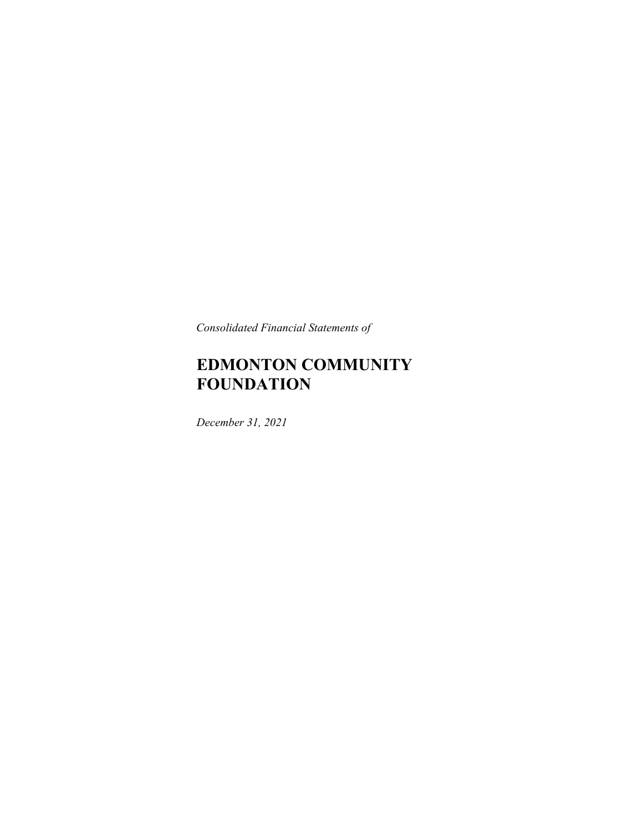*Consolidated Financial Statements of* 

### **EDMONTON COMMUNITY FOUNDATION**

*December 31, 2021*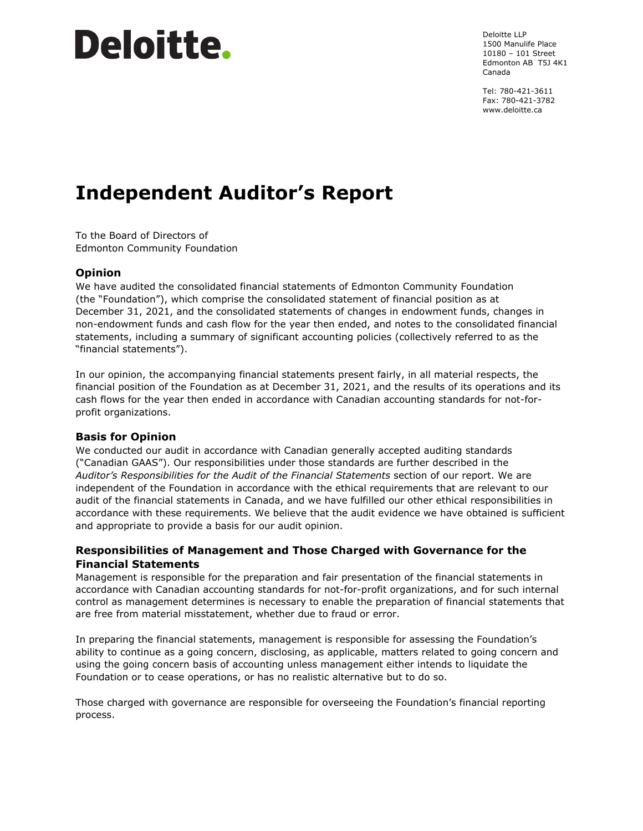# Deloitte.

Deloitte LLP 1500 Manulife Place 10180 – 101 Street Edmonton AB T5J 4K1 Canada

Tel: 780-421-3611 Fax: 780-421-3782 www.deloitte.ca

## **Independent Auditor's Report**

To the Board of Directors of Edmonton Community Foundation

#### **Opinion**

We have audited the consolidated financial statements of Edmonton Community Foundation (the "Foundation"), which comprise the consolidated statement of financial position as at December 31, 2021, and the consolidated statements of changes in endowment funds, changes in non-endowment funds and cash flow for the year then ended, and notes to the consolidated financial statements, including a summary of significant accounting policies (collectively referred to as the "financial statements").

In our opinion, the accompanying financial statements present fairly, in all material respects, the financial position of the Foundation as at December 31, 2021, and the results of its operations and its cash flows for the year then ended in accordance with Canadian accounting standards for not-forprofit organizations.

#### **Basis for Opinion**

We conducted our audit in accordance with Canadian generally accepted auditing standards ("Canadian GAAS"). Our responsibilities under those standards are further described in the *Auditor's Responsibilities for the Audit of the Financial Statements* section of our report. We are independent of the Foundation in accordance with the ethical requirements that are relevant to our audit of the financial statements in Canada, and we have fulfilled our other ethical responsibilities in accordance with these requirements. We believe that the audit evidence we have obtained is sufficient and appropriate to provide a basis for our audit opinion.

#### **Responsibilities of Management and Those Charged with Governance for the Financial Statements**

Management is responsible for the preparation and fair presentation of the financial statements in accordance with Canadian accounting standards for not-for-profit organizations, and for such internal control as management determines is necessary to enable the preparation of financial statements that are free from material misstatement, whether due to fraud or error.

In preparing the financial statements, management is responsible for assessing the Foundation's ability to continue as a going concern, disclosing, as applicable, matters related to going concern and using the going concern basis of accounting unless management either intends to liquidate the Foundation or to cease operations, or has no realistic alternative but to do so.

Those charged with governance are responsible for overseeing the Foundation's financial reporting process.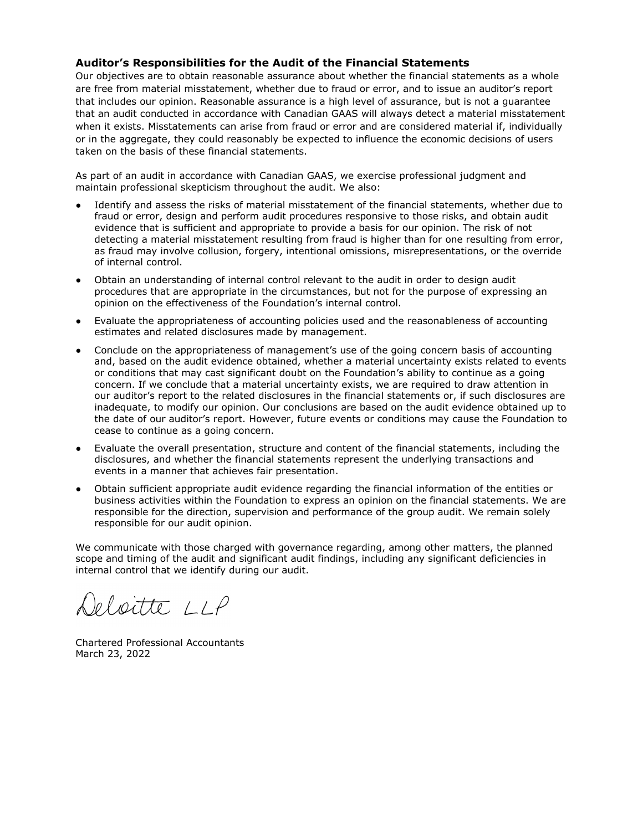#### **Auditor's Responsibilities for the Audit of the Financial Statements**

Our objectives are to obtain reasonable assurance about whether the financial statements as a whole are free from material misstatement, whether due to fraud or error, and to issue an auditor's report that includes our opinion. Reasonable assurance is a high level of assurance, but is not a guarantee that an audit conducted in accordance with Canadian GAAS will always detect a material misstatement when it exists. Misstatements can arise from fraud or error and are considered material if, individually or in the aggregate, they could reasonably be expected to influence the economic decisions of users taken on the basis of these financial statements.

As part of an audit in accordance with Canadian GAAS, we exercise professional judgment and maintain professional skepticism throughout the audit. We also:

- Identify and assess the risks of material misstatement of the financial statements, whether due to fraud or error, design and perform audit procedures responsive to those risks, and obtain audit evidence that is sufficient and appropriate to provide a basis for our opinion. The risk of not detecting a material misstatement resulting from fraud is higher than for one resulting from error, as fraud may involve collusion, forgery, intentional omissions, misrepresentations, or the override of internal control.
- Obtain an understanding of internal control relevant to the audit in order to design audit procedures that are appropriate in the circumstances, but not for the purpose of expressing an opinion on the effectiveness of the Foundation's internal control.
- Evaluate the appropriateness of accounting policies used and the reasonableness of accounting estimates and related disclosures made by management.
- Conclude on the appropriateness of management's use of the going concern basis of accounting and, based on the audit evidence obtained, whether a material uncertainty exists related to events or conditions that may cast significant doubt on the Foundation's ability to continue as a going concern. If we conclude that a material uncertainty exists, we are required to draw attention in our auditor's report to the related disclosures in the financial statements or, if such disclosures are inadequate, to modify our opinion. Our conclusions are based on the audit evidence obtained up to the date of our auditor's report. However, future events or conditions may cause the Foundation to cease to continue as a going concern.
- Evaluate the overall presentation, structure and content of the financial statements, including the disclosures, and whether the financial statements represent the underlying transactions and events in a manner that achieves fair presentation.
- Obtain sufficient appropriate audit evidence regarding the financial information of the entities or business activities within the Foundation to express an opinion on the financial statements. We are responsible for the direction, supervision and performance of the group audit. We remain solely responsible for our audit opinion.

We communicate with those charged with governance regarding, among other matters, the planned scope and timing of the audit and significant audit findings, including any significant deficiencies in internal control that we identify during our audit.

Oeloitte LLP

Chartered Professional Accountants March 23, 2022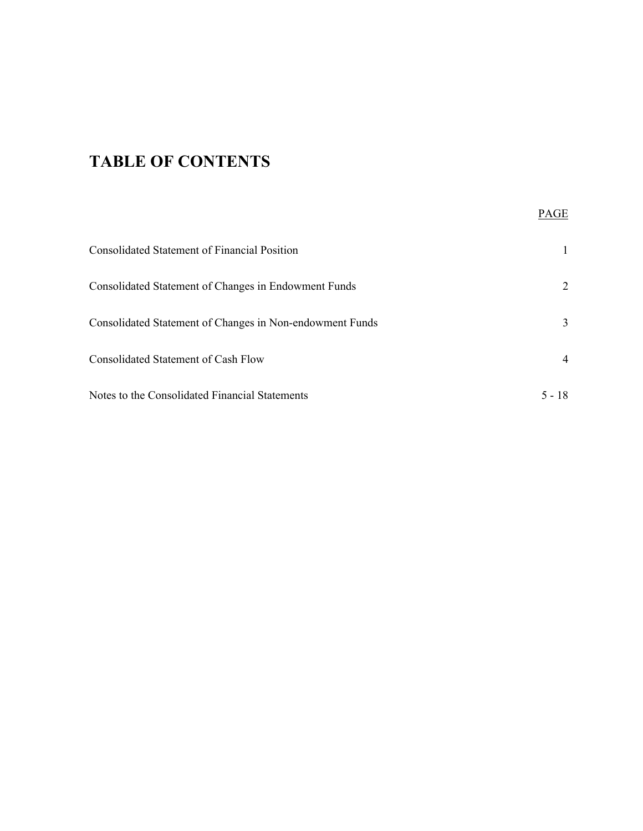### **TABLE OF CONTENTS**

|                                                          | PAGE     |
|----------------------------------------------------------|----------|
| <b>Consolidated Statement of Financial Position</b>      |          |
| Consolidated Statement of Changes in Endowment Funds     | 2        |
| Consolidated Statement of Changes in Non-endowment Funds | 3        |
| Consolidated Statement of Cash Flow                      | 4        |
| Notes to the Consolidated Financial Statements           | $5 - 18$ |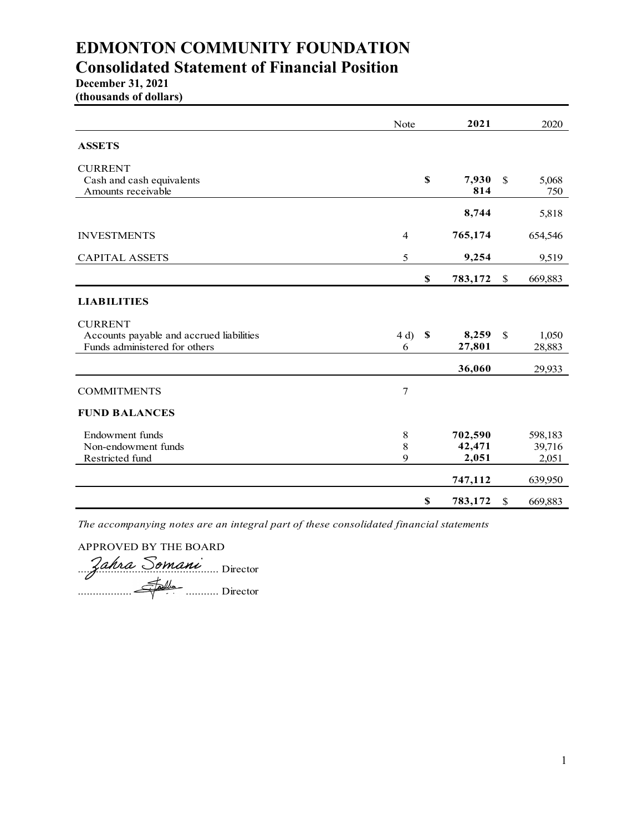### **EDMONTON COMMUNITY FOUNDATION Consolidated Statement of Financial Position**

#### **December 31, 2021**

**(thousands of dollars)** 

|                                                                           | Note                                   | 2021            |               | 2020            |
|---------------------------------------------------------------------------|----------------------------------------|-----------------|---------------|-----------------|
| <b>ASSETS</b>                                                             |                                        |                 |               |                 |
| <b>CURRENT</b>                                                            |                                        |                 |               |                 |
| Cash and cash equivalents<br>Amounts receivable                           | \$                                     | 7,930<br>814    | \$            | 5,068<br>750    |
|                                                                           |                                        | 8,744           |               | 5,818           |
| <b>INVESTMENTS</b>                                                        | $\overline{4}$                         | 765,174         |               | 654,546         |
| <b>CAPITAL ASSETS</b>                                                     | 5                                      | 9,254           |               | 9,519           |
|                                                                           | \$                                     | 783,172         | <sup>\$</sup> | 669,883         |
| <b>LIABILITIES</b>                                                        |                                        |                 |               |                 |
| <b>CURRENT</b>                                                            |                                        |                 |               |                 |
| Accounts payable and accrued liabilities<br>Funds administered for others | 4 d)<br>$\boldsymbol{\mathsf{s}}$<br>6 | 8,259<br>27,801 | $\mathbb{S}$  | 1,050<br>28,883 |
|                                                                           |                                        | 36,060          |               | 29,933          |
| <b>COMMITMENTS</b>                                                        | 7                                      |                 |               |                 |
| <b>FUND BALANCES</b>                                                      |                                        |                 |               |                 |
| Endowment funds                                                           | $8\,$                                  | 702,590         |               | 598,183         |
| Non-endowment funds                                                       | 8                                      | 42,471          |               | 39,716          |
| Restricted fund                                                           | 9                                      | 2,051           |               | 2,051           |
|                                                                           |                                        | 747,112         |               | 639,950         |
|                                                                           | \$                                     | 783,172         | \$            | 669,883         |

*The accompanying notes are an integral part of these consolidated financial statements*

APPROVED BY THE BOARD Zahra Somani Director ............................................... Director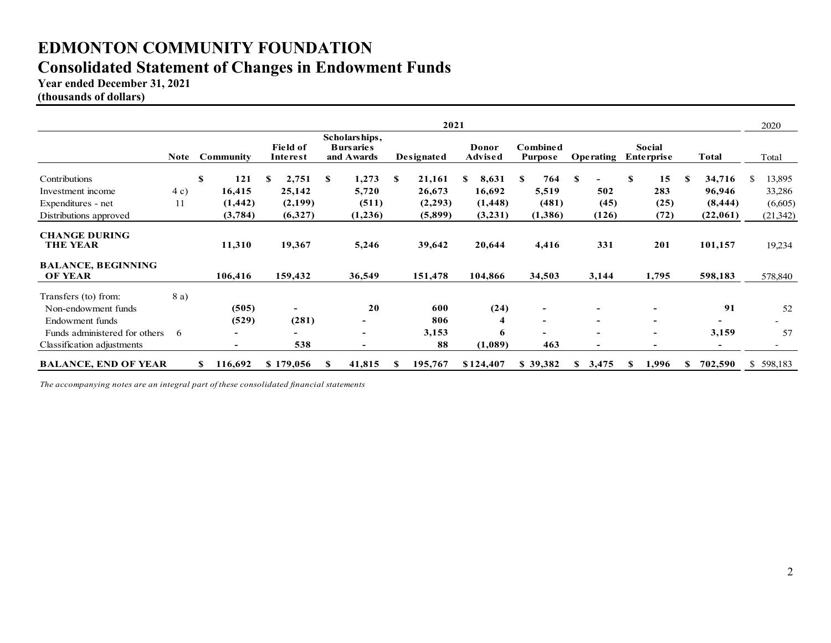### **EDMONTON COMMUNITY FOUNDATION Consolidated Statement of Changes in Endowment Funds**

**Year ended December 31, 2021** 

**(thousands of dollars)** 

|                                             |             |           |                             |                                                                                                                        |                          |           | 2021    |            |          |                                    |                          |       |                          |       |                          |               | 2020     |
|---------------------------------------------|-------------|-----------|-----------------------------|------------------------------------------------------------------------------------------------------------------------|--------------------------|-----------|---------|------------|----------|------------------------------------|--------------------------|-------|--------------------------|-------|--------------------------|---------------|----------|
|                                             | <b>Note</b> | Community | <b>Field of</b><br>Interest | Scholarships,<br><b>Bursaries</b><br><b>Combined</b><br>Donor<br>Advised<br>and Awards<br>Designated<br><b>Purpose</b> |                          | Operating |         |            |          | <b>Social</b><br><b>Enterprise</b> |                          | Total |                          | Total |                          |               |          |
| Contributions                               |             | \$<br>121 | 2,751<br>S                  | S                                                                                                                      | 1,273                    | S         | 21,161  | 8,631<br>S | 764<br>S | S                                  |                          | S     | 15                       | S     | 34,716                   |               | 13,895   |
| Investment income                           | 4c)         | 16,415    | 25,142                      |                                                                                                                        | 5,720                    |           | 26,673  | 16,692     | 5,519    |                                    | 502                      |       | 283                      |       | 96,946                   |               | 33,286   |
| Expenditures - net                          | 11          | (1, 442)  | (2,199)                     |                                                                                                                        | (511)                    |           | (2,293) | (1, 448)   | (481)    |                                    | (45)                     |       | (25)                     |       | (8, 444)                 |               | (6,605)  |
| Distributions approved                      |             | (3,784)   | (6,327)                     |                                                                                                                        | (1,236)                  |           | (5,899) | (3,231)    | (1,386)  |                                    | (126)                    |       | (72)                     |       | (22,061)                 |               | (21,342) |
| <b>CHANGE DURING</b><br><b>THE YEAR</b>     |             | 11,310    | 19,367                      |                                                                                                                        | 5,246                    |           | 39,642  | 20,644     | 4,416    |                                    | 331                      |       | 201                      |       | 101,157                  |               | 19,234   |
| <b>BALANCE, BEGINNING</b><br><b>OF YEAR</b> |             | 106,416   | 159,432                     |                                                                                                                        | 36,549                   |           | 151,478 | 104,866    | 34,503   |                                    | 3,144                    |       | 1,795                    |       | 598,183                  |               | 578,840  |
| Transfers (to) from:                        | 8 a)        |           |                             |                                                                                                                        |                          |           |         |            |          |                                    |                          |       |                          |       |                          |               |          |
| Non-endowment funds                         |             | (505)     | $\overline{\phantom{a}}$    |                                                                                                                        | 20                       |           | 600     | (24)       | -        |                                    |                          |       |                          |       | 91                       |               | 52       |
| Endowment funds                             |             | (529)     | (281)                       |                                                                                                                        | $\qquad \qquad$          |           | 806     | 4          | -        |                                    | $\overline{\phantom{0}}$ |       |                          |       |                          |               |          |
| Funds administered for others               | -6          |           |                             |                                                                                                                        | $\overline{\phantom{a}}$ |           | 3,153   | 6          |          |                                    | $\overline{\phantom{0}}$ |       | $\overline{\phantom{a}}$ |       | 3,159                    |               | 57       |
| Classification adjustments                  |             |           | 538                         |                                                                                                                        | $\sim$                   |           | 88      | (1,089)    | 463      |                                    | $\overline{\phantom{0}}$ |       |                          |       | $\overline{\phantom{a}}$ |               |          |
| <b>BALANCE, END OF YEAR</b>                 |             | 116,692   | \$179,056                   |                                                                                                                        | 41,815                   | S         | 195,767 | \$124,407  | \$39,382 | S.                                 | 3,475                    | S     | 1,996                    | S.    | 702,590                  | <sup>\$</sup> | 598,183  |

*The accompanying notes are an integral part of these consolidated financial statements*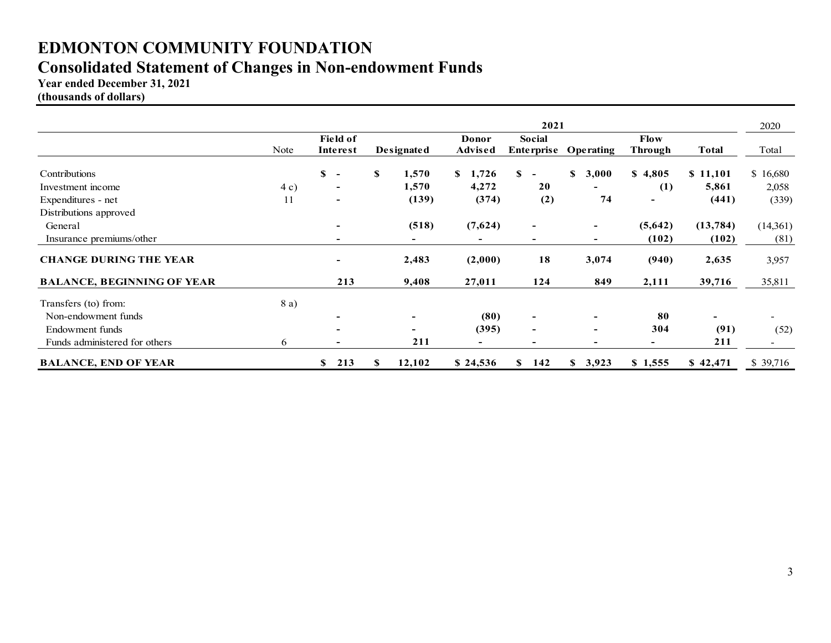### **EDMONTON COMMUNITY FOUNDATION Consolidated Statement of Changes in Non-endowment Funds**

**Year ended December 31, 2021** 

**(thousands of dollars)** 

|                                   |      |                             |    |            |                  | 2021                           |             |                        |                          | 2020                     |
|-----------------------------------|------|-----------------------------|----|------------|------------------|--------------------------------|-------------|------------------------|--------------------------|--------------------------|
|                                   | Note | <b>Field of</b><br>Interest |    | Designated | Donor<br>Advised | Social<br><b>Enterprise</b>    | Operating   | Flow<br><b>Through</b> | <b>Total</b>             | Total                    |
| Contributions                     |      | \$<br>$\sim$                | \$ | 1,570      | 1,726<br>S       | <sup>S</sup><br>$\blacksquare$ | S<br>3,000  | \$4,805                | \$11,101                 | \$16,680                 |
| Investment income                 | 4c)  |                             |    | 1,570      | 4,272            | 20                             | ۰           | (1)                    | 5,861                    | 2,058                    |
| Expenditures - net                | 11   |                             |    | (139)      | (374)            | (2)                            | 74          | ۰                      | (441)                    | (339)                    |
| Distributions approved            |      |                             |    |            |                  |                                |             |                        |                          |                          |
| General                           |      |                             |    | (518)      | (7,624)          | $\blacksquare$                 | $\sim$      | (5,642)                | (13, 784)                | (14, 361)                |
| Insurance premiums/other          |      |                             |    | ۰.         |                  |                                | $\sim$      | (102)                  | (102)                    | (81)                     |
| <b>CHANGE DURING THE YEAR</b>     |      |                             |    | 2,483      | (2,000)          | 18                             | 3,074       | (940)                  | 2,635                    | 3,957                    |
| <b>BALANCE, BEGINNING OF YEAR</b> |      | 213                         |    | 9,408      | 27,011           | 124                            | 849         | 2,111                  | 39,716                   | 35,811                   |
| Transfers (to) from:              | 8 a) |                             |    |            |                  |                                |             |                        |                          |                          |
| Non-endowment funds               |      |                             |    | ۰          | (80)             | $\blacksquare$                 | ۰           | 80                     | $\overline{\phantom{0}}$ | $\overline{\phantom{0}}$ |
| Endowment funds                   |      |                             |    | ۰          | (395)            | $\overline{\phantom{a}}$       | ۰           | 304                    | (91)                     | (52)                     |
| Funds administered for others     | 6    |                             |    | 211        |                  |                                | -           | ۰                      | 211                      |                          |
| <b>BALANCE, END OF YEAR</b>       |      | \$<br>213                   | S  | 12,102     | \$24,536         | S.<br>142                      | S.<br>3,923 | \$1,555                | \$42,471                 | \$39,716                 |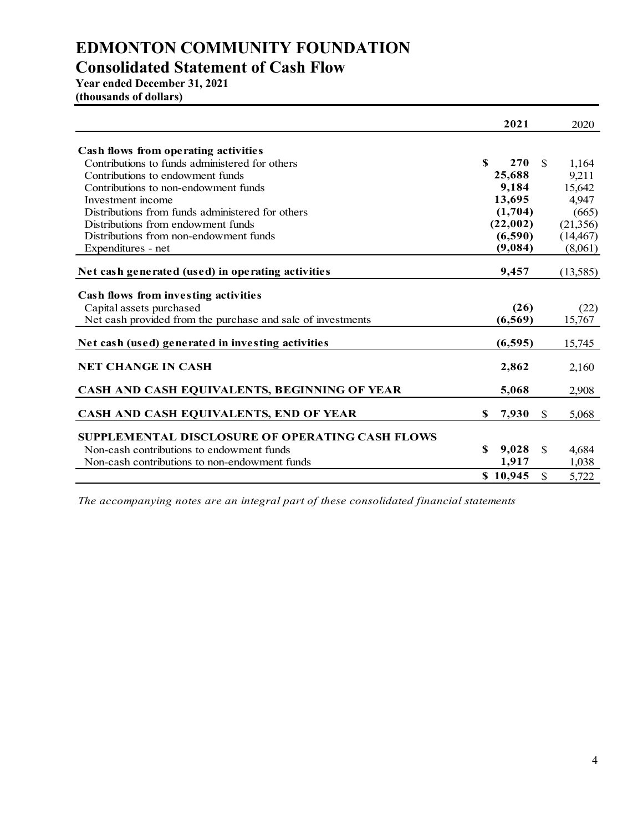### **EDMONTON COMMUNITY FOUNDATION Consolidated Statement of Cash Flow**

### **Year ended December 31, 2021 (thousands of dollars)**

|                                                             |    | 2021     |               | 2020      |
|-------------------------------------------------------------|----|----------|---------------|-----------|
|                                                             |    |          |               |           |
| Cash flows from operating activities                        |    |          |               |           |
| Contributions to funds administered for others              | \$ | 270      | <sup>\$</sup> | 1,164     |
| Contributions to endowment funds                            |    | 25,688   |               | 9,211     |
| Contributions to non-endowment funds                        |    | 9,184    |               | 15,642    |
| Investment income                                           |    | 13,695   |               | 4,947     |
| Distributions from funds administered for others            |    | (1,704)  |               | (665)     |
| Distributions from endowment funds                          |    | (22,002) |               | (21, 356) |
| Distributions from non-endowment funds                      |    | (6,590)  |               | (14, 467) |
| Expenditures - net                                          |    | (9,084)  |               | (8,061)   |
| Net cash generated (used) in operating activities           |    | 9,457    |               | (13,585)  |
| Cash flows from investing activities                        |    |          |               |           |
| Capital assets purchased                                    |    | (26)     |               | (22)      |
| Net cash provided from the purchase and sale of investments |    | (6, 569) |               | 15,767    |
| Net cash (used) generated in investing activities           |    | (6, 595) |               | 15,745    |
| <b>NET CHANGE IN CASH</b>                                   |    | 2,862    |               | 2,160     |
| CASH AND CASH EQUIVALENTS, BEGINNING OF YEAR                |    | 5,068    |               | 2,908     |
| CASH AND CASH EQUIVALENTS, END OF YEAR                      | S  | 7,930    | \$            | 5,068     |
| <b>SUPPLEMENTAL DISCLOSURE OF OPERATING CASH FLOWS</b>      |    |          |               |           |
| Non-cash contributions to endowment funds                   | \$ | 9,028    | $\mathbb{S}$  | 4,684     |
| Non-cash contributions to non-endowment funds               |    | 1,917    |               | 1,038     |
|                                                             |    | \$10,945 | \$            | 5,722     |

*The accompanying notes are an integral part of these consolidated financial statements*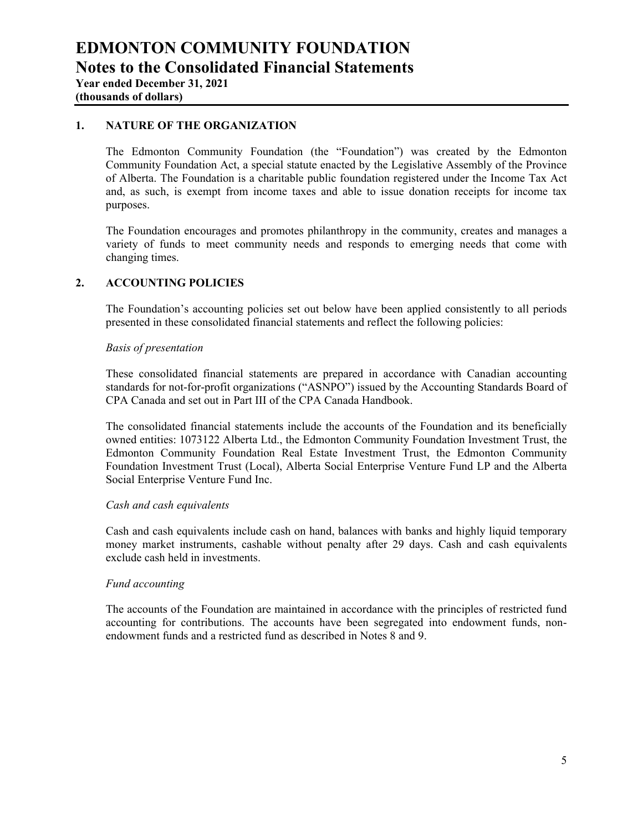#### **1. NATURE OF THE ORGANIZATION**

The Edmonton Community Foundation (the "Foundation") was created by the Edmonton Community Foundation Act, a special statute enacted by the Legislative Assembly of the Province of Alberta. The Foundation is a charitable public foundation registered under the Income Tax Act and, as such, is exempt from income taxes and able to issue donation receipts for income tax purposes.

The Foundation encourages and promotes philanthropy in the community, creates and manages a variety of funds to meet community needs and responds to emerging needs that come with changing times.

#### **2. ACCOUNTING POLICIES**

The Foundation's accounting policies set out below have been applied consistently to all periods presented in these consolidated financial statements and reflect the following policies:

#### *Basis of presentation*

These consolidated financial statements are prepared in accordance with Canadian accounting standards for not-for-profit organizations ("ASNPO") issued by the Accounting Standards Board of CPA Canada and set out in Part III of the CPA Canada Handbook.

The consolidated financial statements include the accounts of the Foundation and its beneficially owned entities: 1073122 Alberta Ltd., the Edmonton Community Foundation Investment Trust, the Edmonton Community Foundation Real Estate Investment Trust, the Edmonton Community Foundation Investment Trust (Local), Alberta Social Enterprise Venture Fund LP and the Alberta Social Enterprise Venture Fund Inc.

#### *Cash and cash equivalents*

Cash and cash equivalents include cash on hand, balances with banks and highly liquid temporary money market instruments, cashable without penalty after 29 days. Cash and cash equivalents exclude cash held in investments.

#### *Fund accounting*

The accounts of the Foundation are maintained in accordance with the principles of restricted fund accounting for contributions. The accounts have been segregated into endowment funds, nonendowment funds and a restricted fund as described in Notes 8 and 9.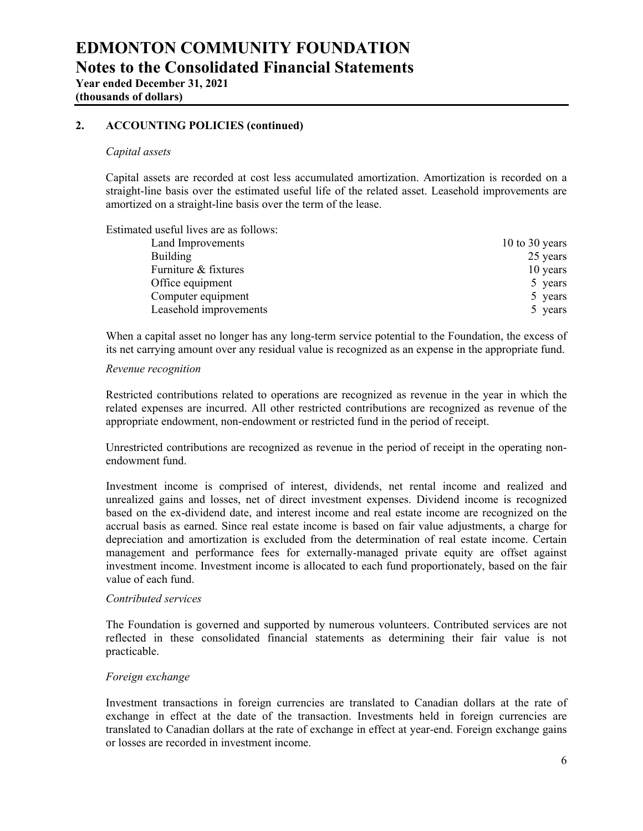**(thousands of dollars)** 

#### **2. ACCOUNTING POLICIES (continued)**

#### *Capital assets*

Capital assets are recorded at cost less accumulated amortization. Amortization is recorded on a straight-line basis over the estimated useful life of the related asset. Leasehold improvements are amortized on a straight-line basis over the term of the lease.

Estimated useful lives are as follows:

| Land Improvements      | 10 to 30 years |
|------------------------|----------------|
| <b>Building</b>        | 25 years       |
| Furniture & fixtures   | 10 years       |
| Office equipment       | 5 years        |
| Computer equipment     | 5 years        |
| Leasehold improvements | 5 years        |

When a capital asset no longer has any long-term service potential to the Foundation, the excess of its net carrying amount over any residual value is recognized as an expense in the appropriate fund.

#### *Revenue recognition*

Restricted contributions related to operations are recognized as revenue in the year in which the related expenses are incurred. All other restricted contributions are recognized as revenue of the appropriate endowment, non-endowment or restricted fund in the period of receipt.

Unrestricted contributions are recognized as revenue in the period of receipt in the operating nonendowment fund.

Investment income is comprised of interest, dividends, net rental income and realized and unrealized gains and losses, net of direct investment expenses. Dividend income is recognized based on the ex-dividend date, and interest income and real estate income are recognized on the accrual basis as earned. Since real estate income is based on fair value adjustments, a charge for depreciation and amortization is excluded from the determination of real estate income. Certain management and performance fees for externally-managed private equity are offset against investment income. Investment income is allocated to each fund proportionately, based on the fair value of each fund.

#### *Contributed services*

The Foundation is governed and supported by numerous volunteers. Contributed services are not reflected in these consolidated financial statements as determining their fair value is not practicable.

#### *Foreign exchange*

Investment transactions in foreign currencies are translated to Canadian dollars at the rate of exchange in effect at the date of the transaction. Investments held in foreign currencies are translated to Canadian dollars at the rate of exchange in effect at year-end. Foreign exchange gains or losses are recorded in investment income.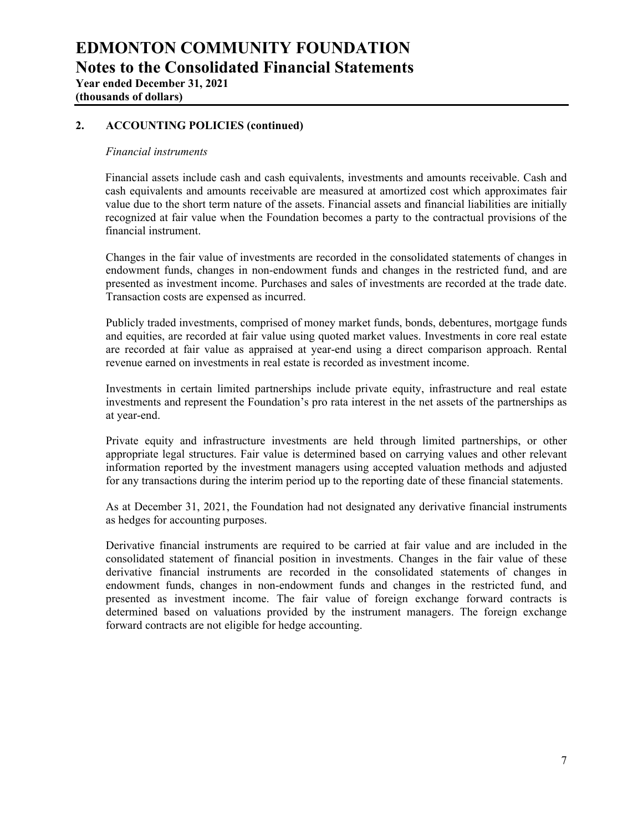#### **2. ACCOUNTING POLICIES (continued)**

#### *Financial instruments*

Financial assets include cash and cash equivalents, investments and amounts receivable. Cash and cash equivalents and amounts receivable are measured at amortized cost which approximates fair value due to the short term nature of the assets. Financial assets and financial liabilities are initially recognized at fair value when the Foundation becomes a party to the contractual provisions of the financial instrument.

Changes in the fair value of investments are recorded in the consolidated statements of changes in endowment funds, changes in non-endowment funds and changes in the restricted fund, and are presented as investment income. Purchases and sales of investments are recorded at the trade date. Transaction costs are expensed as incurred.

Publicly traded investments, comprised of money market funds, bonds, debentures, mortgage funds and equities, are recorded at fair value using quoted market values. Investments in core real estate are recorded at fair value as appraised at year-end using a direct comparison approach. Rental revenue earned on investments in real estate is recorded as investment income.

Investments in certain limited partnerships include private equity, infrastructure and real estate investments and represent the Foundation's pro rata interest in the net assets of the partnerships as at year-end.

Private equity and infrastructure investments are held through limited partnerships, or other appropriate legal structures. Fair value is determined based on carrying values and other relevant information reported by the investment managers using accepted valuation methods and adjusted for any transactions during the interim period up to the reporting date of these financial statements.

As at December 31, 2021, the Foundation had not designated any derivative financial instruments as hedges for accounting purposes.

Derivative financial instruments are required to be carried at fair value and are included in the consolidated statement of financial position in investments. Changes in the fair value of these derivative financial instruments are recorded in the consolidated statements of changes in endowment funds, changes in non-endowment funds and changes in the restricted fund, and presented as investment income. The fair value of foreign exchange forward contracts is determined based on valuations provided by the instrument managers. The foreign exchange forward contracts are not eligible for hedge accounting.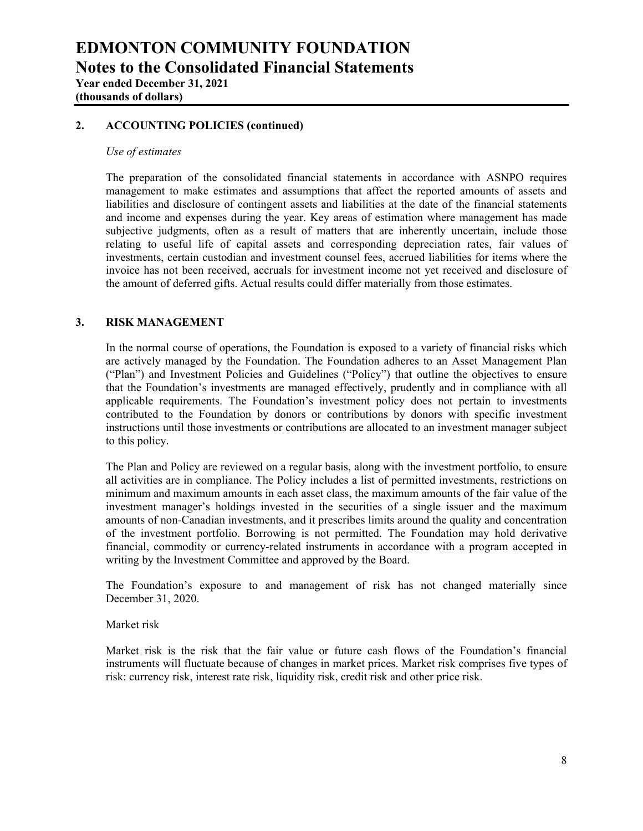### **EDMONTON COMMUNITY FOUNDATION Notes to the Consolidated Financial Statements**

**Year ended December 31, 2021 (thousands of dollars)** 

#### **2. ACCOUNTING POLICIES (continued)**

#### *Use of estimates*

The preparation of the consolidated financial statements in accordance with ASNPO requires management to make estimates and assumptions that affect the reported amounts of assets and liabilities and disclosure of contingent assets and liabilities at the date of the financial statements and income and expenses during the year. Key areas of estimation where management has made subjective judgments, often as a result of matters that are inherently uncertain, include those relating to useful life of capital assets and corresponding depreciation rates, fair values of investments, certain custodian and investment counsel fees, accrued liabilities for items where the invoice has not been received, accruals for investment income not yet received and disclosure of the amount of deferred gifts. Actual results could differ materially from those estimates.

#### **3. RISK MANAGEMENT**

In the normal course of operations, the Foundation is exposed to a variety of financial risks which are actively managed by the Foundation. The Foundation adheres to an Asset Management Plan ("Plan") and Investment Policies and Guidelines ("Policy") that outline the objectives to ensure that the Foundation's investments are managed effectively, prudently and in compliance with all applicable requirements. The Foundation's investment policy does not pertain to investments contributed to the Foundation by donors or contributions by donors with specific investment instructions until those investments or contributions are allocated to an investment manager subject to this policy.

The Plan and Policy are reviewed on a regular basis, along with the investment portfolio, to ensure all activities are in compliance. The Policy includes a list of permitted investments, restrictions on minimum and maximum amounts in each asset class, the maximum amounts of the fair value of the investment manager's holdings invested in the securities of a single issuer and the maximum amounts of non-Canadian investments, and it prescribes limits around the quality and concentration of the investment portfolio. Borrowing is not permitted. The Foundation may hold derivative financial, commodity or currency-related instruments in accordance with a program accepted in writing by the Investment Committee and approved by the Board.

The Foundation's exposure to and management of risk has not changed materially since December 31, 2020.

#### Market risk

Market risk is the risk that the fair value or future cash flows of the Foundation's financial instruments will fluctuate because of changes in market prices. Market risk comprises five types of risk: currency risk, interest rate risk, liquidity risk, credit risk and other price risk.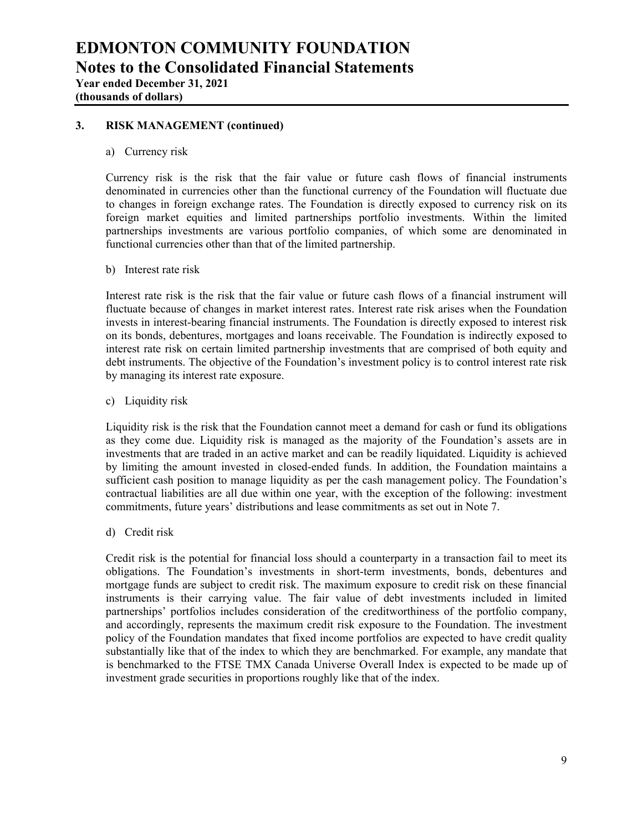#### **3. RISK MANAGEMENT (continued)**

#### a) Currency risk

Currency risk is the risk that the fair value or future cash flows of financial instruments denominated in currencies other than the functional currency of the Foundation will fluctuate due to changes in foreign exchange rates. The Foundation is directly exposed to currency risk on its foreign market equities and limited partnerships portfolio investments. Within the limited partnerships investments are various portfolio companies, of which some are denominated in functional currencies other than that of the limited partnership.

b) Interest rate risk

Interest rate risk is the risk that the fair value or future cash flows of a financial instrument will fluctuate because of changes in market interest rates. Interest rate risk arises when the Foundation invests in interest-bearing financial instruments. The Foundation is directly exposed to interest risk on its bonds, debentures, mortgages and loans receivable. The Foundation is indirectly exposed to interest rate risk on certain limited partnership investments that are comprised of both equity and debt instruments. The objective of the Foundation's investment policy is to control interest rate risk by managing its interest rate exposure.

c) Liquidity risk

Liquidity risk is the risk that the Foundation cannot meet a demand for cash or fund its obligations as they come due. Liquidity risk is managed as the majority of the Foundation's assets are in investments that are traded in an active market and can be readily liquidated. Liquidity is achieved by limiting the amount invested in closed-ended funds. In addition, the Foundation maintains a sufficient cash position to manage liquidity as per the cash management policy. The Foundation's contractual liabilities are all due within one year, with the exception of the following: investment commitments, future years' distributions and lease commitments as set out in Note 7.

d) Credit risk

Credit risk is the potential for financial loss should a counterparty in a transaction fail to meet its obligations. The Foundation's investments in short-term investments, bonds, debentures and mortgage funds are subject to credit risk. The maximum exposure to credit risk on these financial instruments is their carrying value. The fair value of debt investments included in limited partnerships' portfolios includes consideration of the creditworthiness of the portfolio company, and accordingly, represents the maximum credit risk exposure to the Foundation. The investment policy of the Foundation mandates that fixed income portfolios are expected to have credit quality substantially like that of the index to which they are benchmarked. For example, any mandate that is benchmarked to the FTSE TMX Canada Universe Overall Index is expected to be made up of investment grade securities in proportions roughly like that of the index.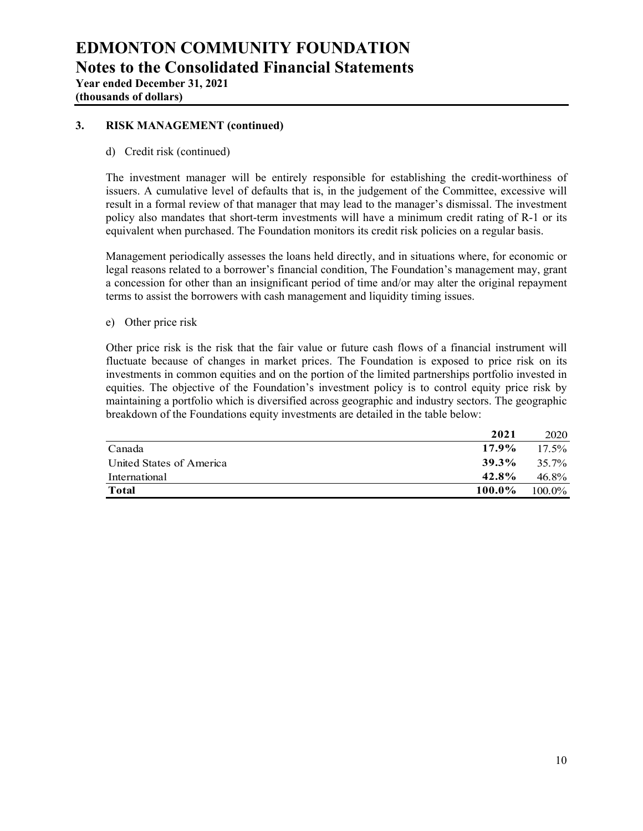### **EDMONTON COMMUNITY FOUNDATION Notes to the Consolidated Financial Statements**

**Year ended December 31, 2021 (thousands of dollars)** 

#### **3. RISK MANAGEMENT (continued)**

#### d) Credit risk (continued)

The investment manager will be entirely responsible for establishing the credit-worthiness of issuers. A cumulative level of defaults that is, in the judgement of the Committee, excessive will result in a formal review of that manager that may lead to the manager's dismissal. The investment policy also mandates that short-term investments will have a minimum credit rating of R-1 or its equivalent when purchased. The Foundation monitors its credit risk policies on a regular basis.

Management periodically assesses the loans held directly, and in situations where, for economic or legal reasons related to a borrower's financial condition, The Foundation's management may, grant a concession for other than an insignificant period of time and/or may alter the original repayment terms to assist the borrowers with cash management and liquidity timing issues.

#### e) Other price risk

Other price risk is the risk that the fair value or future cash flows of a financial instrument will fluctuate because of changes in market prices. The Foundation is exposed to price risk on its investments in common equities and on the portion of the limited partnerships portfolio invested in equities. The objective of the Foundation's investment policy is to control equity price risk by maintaining a portfolio which is diversified across geographic and industry sectors. The geographic breakdown of the Foundations equity investments are detailed in the table below:

|                          | 2021         | 2020      |
|--------------------------|--------------|-----------|
| Canada                   | $17.9\%$     | $17.5\%$  |
| United States of America | <b>39.3%</b> | 35.7%     |
| International            | 42.8%        | 46.8%     |
| Total                    | $100.0\%$    | $100.0\%$ |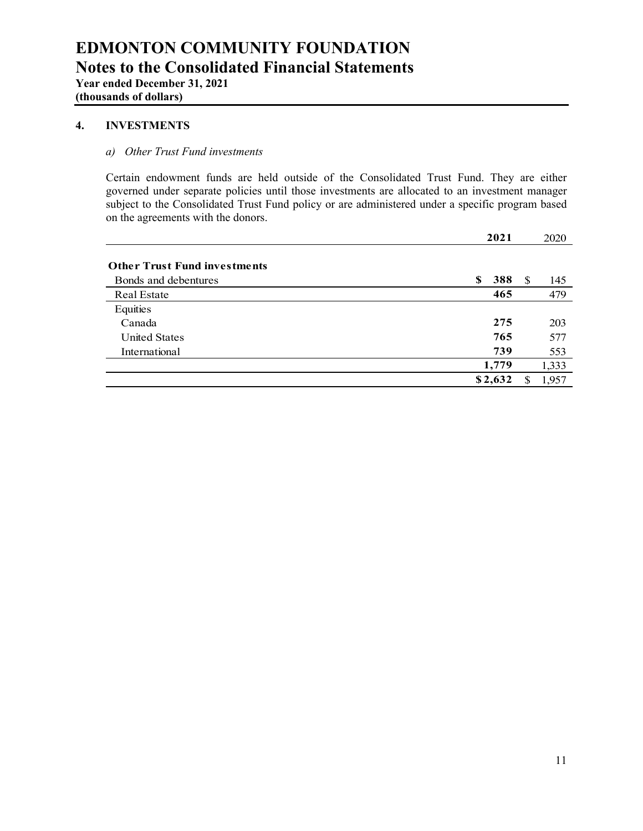#### **4. INVESTMENTS**

#### *a) Other Trust Fund investments*

Certain endowment funds are held outside of the Consolidated Trust Fund. They are either governed under separate policies until those investments are allocated to an investment manager subject to the Consolidated Trust Fund policy or are administered under a specific program based on the agreements with the donors.

|                                                             | 2021     | 2020      |
|-------------------------------------------------------------|----------|-----------|
| <b>Other Trust Fund investments</b><br>Bonds and debentures | 388<br>S | -S<br>145 |
| Real Estate                                                 | 465      | 479       |
| Equities                                                    |          |           |
| Canada                                                      | 275      | 203       |
| <b>United States</b>                                        | 765      | 577       |
| International                                               | 739      | 553       |
|                                                             | 1,779    | 1,333     |
|                                                             | \$2,632  | 1,957     |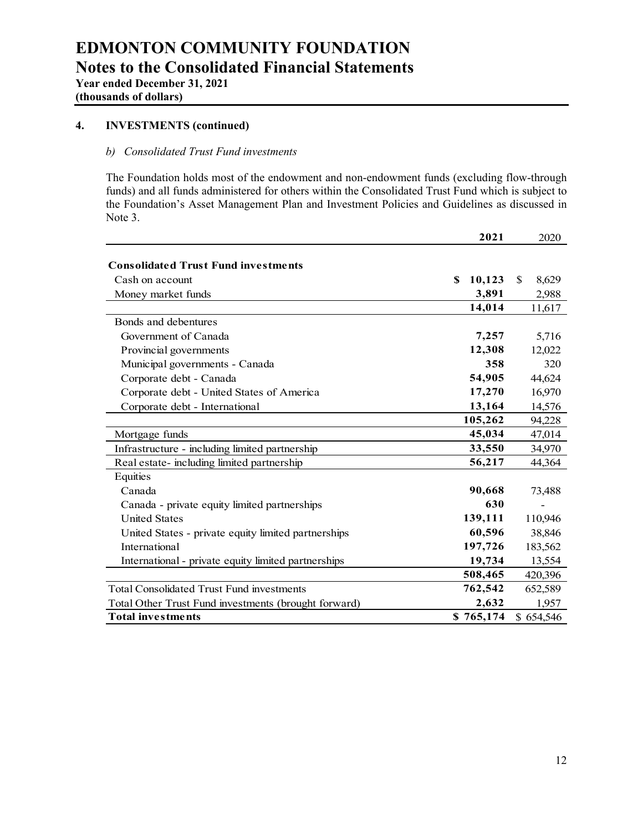#### **4. INVESTMENTS (continued)**

#### *b) Consolidated Trust Fund investments*

The Foundation holds most of the endowment and non-endowment funds (excluding flow-through funds) and all funds administered for others within the Consolidated Trust Fund which is subject to the Foundation's Asset Management Plan and Investment Policies and Guidelines as discussed in Note 3.

|                                                      | 2021         | 2020         |
|------------------------------------------------------|--------------|--------------|
|                                                      |              |              |
| <b>Consolidated Trust Fund investments</b>           |              |              |
| Cash on account                                      | 10,123<br>\$ | \$.<br>8,629 |
| Money market funds                                   | 3,891        | 2,988        |
|                                                      | 14,014       | 11,617       |
| Bonds and debentures                                 |              |              |
| Government of Canada                                 | 7,257        | 5,716        |
| Provincial governments                               | 12,308       | 12,022       |
| Municipal governments - Canada                       | 358          | 320          |
| Corporate debt - Canada                              | 54,905       | 44,624       |
| Corporate debt - United States of America            | 17,270       | 16,970       |
| Corporate debt - International                       | 13,164       | 14,576       |
|                                                      | 105,262      | 94,228       |
| Mortgage funds                                       | 45,034       | 47,014       |
| Infrastructure - including limited partnership       | 33,550       | 34,970       |
| Real estate- including limited partnership           | 56,217       | 44,364       |
| Equities                                             |              |              |
| Canada                                               | 90,668       | 73,488       |
| Canada - private equity limited partnerships         | 630          |              |
| <b>United States</b>                                 | 139,111      | 110,946      |
| United States - private equity limited partnerships  | 60,596       | 38,846       |
| International                                        | 197,726      | 183,562      |
| International - private equity limited partnerships  | 19,734       | 13,554       |
|                                                      | 508,465      | 420,396      |
| <b>Total Consolidated Trust Fund investments</b>     | 762,542      | 652,589      |
| Total Other Trust Fund investments (brought forward) | 2,632        | 1,957        |
| <b>Total investments</b>                             | \$765,174    | \$654,546    |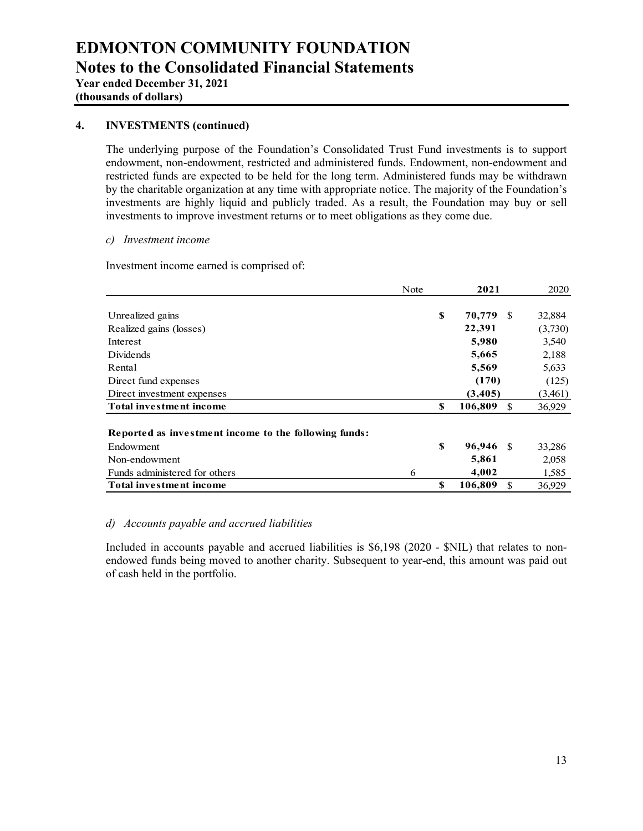#### **4. INVESTMENTS (continued)**

The underlying purpose of the Foundation's Consolidated Trust Fund investments is to support endowment, non-endowment, restricted and administered funds. Endowment, non-endowment and restricted funds are expected to be held for the long term. Administered funds may be withdrawn by the charitable organization at any time with appropriate notice. The majority of the Foundation's investments are highly liquid and publicly traded. As a result, the Foundation may buy or sell investments to improve investment returns or to meet obligations as they come due.

#### *c) Investment income*

Investment income earned is comprised of:

|                                                       | Note |   | 2021     |      | 2020    |
|-------------------------------------------------------|------|---|----------|------|---------|
|                                                       |      |   |          |      |         |
| Unrealized gains                                      |      | S | 70,779   | -8   | 32,884  |
| Realized gains (losses)                               |      |   | 22,391   |      | (3,730) |
| Interest                                              |      |   | 5,980    |      | 3,540   |
| <b>Dividends</b>                                      |      |   | 5,665    |      | 2,188   |
| Rental                                                |      |   | 5,569    |      | 5,633   |
| Direct fund expenses                                  |      |   | (170)    |      | (125)   |
| Direct investment expenses                            |      |   | (3, 405) |      | (3,461) |
| <b>Total investment income</b>                        |      | S | 106,809  | - \$ | 36,929  |
|                                                       |      |   |          |      |         |
| Reported as investment income to the following funds: |      |   |          |      |         |
| Endowment                                             |      | S | 96,946   | - \$ | 33,286  |
| Non-endowment                                         |      |   | 5,861    |      | 2,058   |
| Funds administered for others                         | 6    |   | 4,002    |      | 1,585   |
| <b>Total investment income</b>                        |      | S | 106,809  | \$.  | 36,929  |

#### *d) Accounts payable and accrued liabilities*

Included in accounts payable and accrued liabilities is \$6,198 (2020 - \$NIL) that relates to nonendowed funds being moved to another charity. Subsequent to year-end, this amount was paid out of cash held in the portfolio.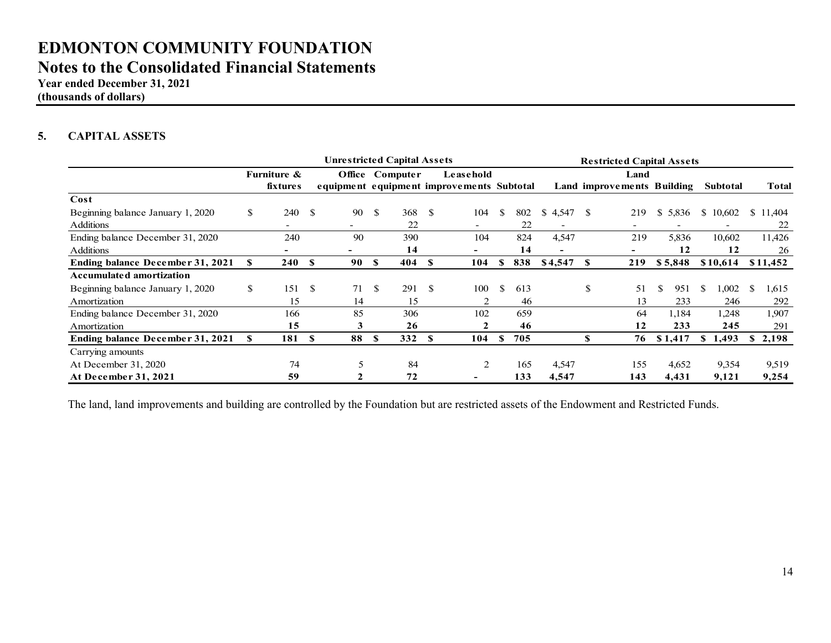### **EDMONTON COMMUNITY FOUNDATION Notes to the Consolidated Financial Statements**

**Year ended December 31, 2021 (thousands of dollars)** 

#### **5. CAPITAL ASSETS**

|                                         |    |                        |               | <b>Unrestricted Capital Assets</b> |               |     |      |                                           |     |      | <b>Restricted Capital Assets</b> |              |                            |                      |             |     |              |
|-----------------------------------------|----|------------------------|---------------|------------------------------------|---------------|-----|------|-------------------------------------------|-----|------|----------------------------------|--------------|----------------------------|----------------------|-------------|-----|--------------|
|                                         |    | <b>Furniture &amp;</b> |               | Office Computer                    |               |     |      | <b>Lease hold</b>                         |     | Land |                                  |              |                            |                      |             |     |              |
|                                         |    | <b>fixtures</b>        |               |                                    |               |     |      | equipment equipment improvements Subtotal |     |      |                                  |              | Land improvements Building |                      | Subtotal    |     | Total        |
| Cost                                    |    |                        |               |                                    |               |     |      |                                           |     |      |                                  |              |                            |                      |             |     |              |
| Beginning balance January 1, 2020       | S. | 240                    | <sup>\$</sup> | 90                                 | \$            | 368 | - \$ | 104                                       | \$. | 802  | \$4,547                          | <sup>S</sup> | 219                        | \$5,836              | \$10,602    |     | \$11,404     |
| Additions                               |    |                        |               |                                    |               | 22  |      | $\overline{\phantom{0}}$                  |     | 22   | $\overline{\phantom{a}}$         |              | $\overline{\phantom{0}}$   |                      |             |     | 22           |
| Ending balance December 31, 2020        |    | 240                    |               | 90                                 |               | 390 |      | 104                                       |     | 824  | 4,547                            |              | 219                        | 5,836                | 10,602      |     | 11,426       |
| Additions                               |    |                        |               |                                    |               | 14  |      |                                           |     | 14   |                                  |              |                            | 12                   |             | 12  | 26           |
| Ending balance December 31, 2021        | S. | 240                    | -S            | 90                                 | S             | 404 | - \$ | 104                                       | Ъ.  | 838  | \$4,547                          | -SS          | 219                        | \$5,848              | \$10,614    |     | \$11,452     |
| <b>Accumulated amortization</b>         |    |                        |               |                                    |               |     |      |                                           |     |      |                                  |              |                            |                      |             |     |              |
| Beginning balance January 1, 2020       | S. | 151                    | -S            | 71                                 | <sup>\$</sup> | 291 | - \$ | 100                                       | \$  | 613  |                                  | \$           | 51                         | <sup>\$</sup><br>951 | 1,002<br>-S |     | -S<br>1,615  |
| Amortization                            |    | 15                     |               | 14                                 |               | 15  |      |                                           |     | 46   |                                  |              | 13                         | 233                  |             | 246 | 292          |
| Ending balance December 31, 2020        |    | 166                    |               | 85                                 |               | 306 |      | 102                                       |     | 659  |                                  |              | 64                         | 1,184                | 1,248       |     | 1,907        |
| Amortization                            |    | 15                     |               | 3                                  |               | 26  |      | 2                                         |     | 46   |                                  |              | 12                         | 233                  |             | 245 | 291          |
| <b>Ending balance December 31, 2021</b> | S  | 181                    | <b>S</b>      | 88                                 | S             | 332 | -S   | 104                                       | Ъ.  | 705  |                                  | \$           | 76                         | \$1,417              | \$1,493     |     | 2,198<br>SS. |
| Carrying amounts                        |    |                        |               |                                    |               |     |      |                                           |     |      |                                  |              |                            |                      |             |     |              |
| At December 31, 2020                    |    | 74                     |               |                                    |               | 84  |      |                                           |     | 165  | 4,547                            |              | 155                        | 4,652                | 9,354       |     | 9,519        |
| <b>At December 31, 2021</b>             |    | 59                     |               |                                    |               | 72  |      |                                           |     | 133  | 4,547                            |              | 143                        | 4,431                | 9,121       |     | 9,254        |

The land, land improvements and building are controlled by the Foundation but are restricted assets of the Endowment and Restricted Funds.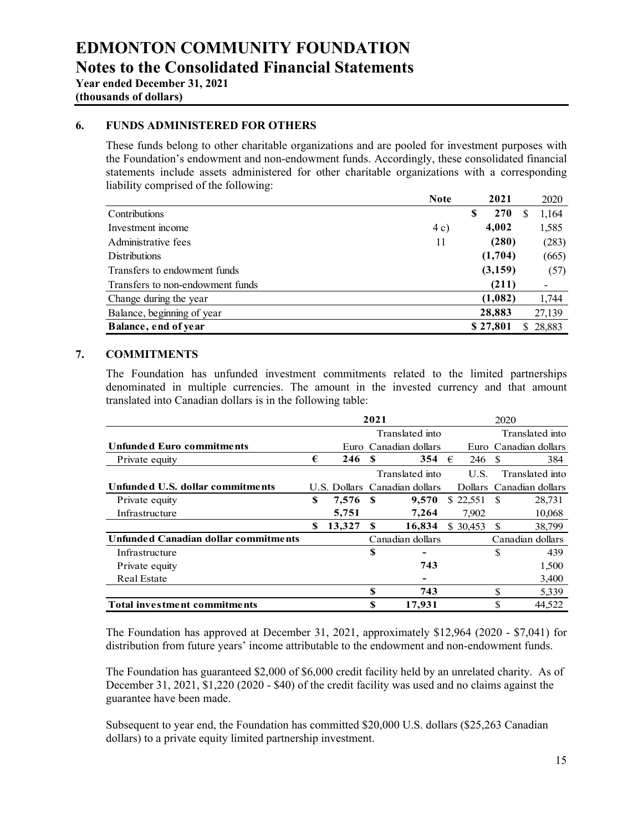#### **6. FUNDS ADMINISTERED FOR OTHERS**

These funds belong to other charitable organizations and are pooled for investment purposes with the Foundation's endowment and non-endowment funds. Accordingly, these consolidated financial statements include assets administered for other charitable organizations with a corresponding liability comprised of the following:

|                                  | <b>Note</b> | 2021     | 2020         |
|----------------------------------|-------------|----------|--------------|
| Contributions                    |             | S<br>270 | 1,164<br>S   |
| Investment income                | 4 c)        | 4,002    | 1,585        |
| Administrative fees              | 11          | (280)    | (283)        |
| <b>Distributions</b>             |             | (1,704)  | (665)        |
| Transfers to endowment funds     |             | (3,159)  | (57)         |
| Transfers to non-endowment funds |             | (211)    |              |
| Change during the year           |             | (1,082)  | 1,744        |
| Balance, beginning of year       |             | 28,883   | 27,139       |
| Balance, end of year             |             | \$27,801 | 28,883<br>S. |

#### **7. COMMITMENTS**

The Foundation has unfunded investment commitments related to the limited partnerships denominated in multiple currencies. The amount in the invested currency and that amount translated into Canadian dollars is in the following table:

|                                      |    |          | 2021             |                               | 2020 |                  |                 |                          |  |
|--------------------------------------|----|----------|------------------|-------------------------------|------|------------------|-----------------|--------------------------|--|
|                                      |    |          | Translated into  |                               |      |                  | Translated into |                          |  |
| <b>Unfunded Euro commitments</b>     |    |          |                  | Euro Canadian dollars         |      |                  |                 | Euro Canadian dollars    |  |
| Private equity                       | €  | 246      | S                | 354                           | €    | 246              | <b>S</b>        | 384                      |  |
|                                      |    |          |                  | Translated into               |      | U.S.             |                 | Translated into          |  |
| Unfunded U.S. dollar commitments     |    |          |                  | U.S. Dollars Canadian dollars |      |                  |                 | Dollars Canadian dollars |  |
| Private equity                       | \$ | 7,576 \$ |                  | 9,570                         |      | \$22,551         | <sup>\$</sup>   | 28,731                   |  |
| Infrastructure                       |    | 5,751    |                  | 7,264                         |      | 7,902            |                 | 10,068                   |  |
|                                      | S  | 13,327   | S                | 16,834                        |      | \$ 30,453        | <sup>\$</sup>   | 38,799                   |  |
| Unfunded Canadian dollar commitments |    |          | Canadian dollars |                               |      | Canadian dollars |                 |                          |  |
| Infrastructure                       |    |          | S                |                               |      |                  | \$              | 439                      |  |
| Private equity                       |    |          |                  | 743                           |      |                  |                 | 1,500                    |  |
| <b>Real Estate</b>                   |    |          |                  | ٠                             |      |                  |                 | 3,400                    |  |
|                                      |    |          | S                | 743                           |      |                  | \$              | 5,339                    |  |
| <b>Total investment commitments</b>  |    |          | S                | 17,931                        |      |                  | \$              | 44,522                   |  |

The Foundation has approved at December 31, 2021, approximately \$12,964 (2020 - \$7,041) for distribution from future years' income attributable to the endowment and non-endowment funds.

The Foundation has guaranteed \$2,000 of \$6,000 credit facility held by an unrelated charity. As of December 31, 2021, \$1,220 (2020 - \$40) of the credit facility was used and no claims against the guarantee have been made.

Subsequent to year end, the Foundation has committed \$20,000 U.S. dollars (\$25,263 Canadian dollars) to a private equity limited partnership investment.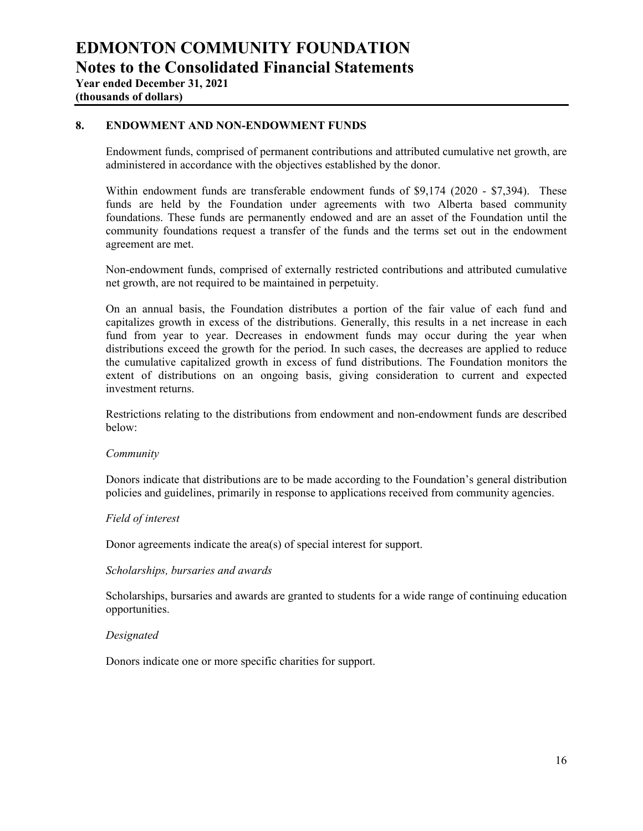#### **8. ENDOWMENT AND NON-ENDOWMENT FUNDS**

Endowment funds, comprised of permanent contributions and attributed cumulative net growth, are administered in accordance with the objectives established by the donor.

Within endowment funds are transferable endowment funds of \$9,174 (2020 - \$7,394). These funds are held by the Foundation under agreements with two Alberta based community foundations. These funds are permanently endowed and are an asset of the Foundation until the community foundations request a transfer of the funds and the terms set out in the endowment agreement are met.

Non-endowment funds, comprised of externally restricted contributions and attributed cumulative net growth, are not required to be maintained in perpetuity.

On an annual basis, the Foundation distributes a portion of the fair value of each fund and capitalizes growth in excess of the distributions. Generally, this results in a net increase in each fund from year to year. Decreases in endowment funds may occur during the year when distributions exceed the growth for the period. In such cases, the decreases are applied to reduce the cumulative capitalized growth in excess of fund distributions. The Foundation monitors the extent of distributions on an ongoing basis, giving consideration to current and expected investment returns.

Restrictions relating to the distributions from endowment and non-endowment funds are described below:

#### *Community*

Donors indicate that distributions are to be made according to the Foundation's general distribution policies and guidelines, primarily in response to applications received from community agencies.

#### *Field of interest*

Donor agreements indicate the area(s) of special interest for support.

#### *Scholarships, bursaries and awards*

Scholarships, bursaries and awards are granted to students for a wide range of continuing education opportunities.

#### *Designated*

Donors indicate one or more specific charities for support.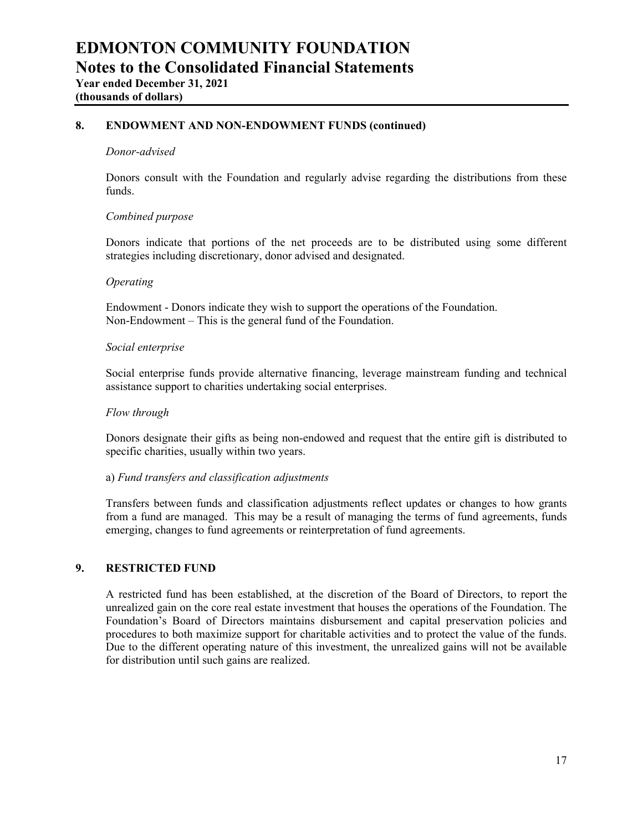#### **8. ENDOWMENT AND NON-ENDOWMENT FUNDS (continued)**

#### *Donor-advised*

Donors consult with the Foundation and regularly advise regarding the distributions from these funds.

#### *Combined purpose*

Donors indicate that portions of the net proceeds are to be distributed using some different strategies including discretionary, donor advised and designated.

#### *Operating*

Endowment - Donors indicate they wish to support the operations of the Foundation. Non-Endowment – This is the general fund of the Foundation.

#### *Social enterprise*

Social enterprise funds provide alternative financing, leverage mainstream funding and technical assistance support to charities undertaking social enterprises.

#### *Flow through*

Donors designate their gifts as being non-endowed and request that the entire gift is distributed to specific charities, usually within two years.

#### a) *Fund transfers and classification adjustments*

Transfers between funds and classification adjustments reflect updates or changes to how grants from a fund are managed. This may be a result of managing the terms of fund agreements, funds emerging, changes to fund agreements or reinterpretation of fund agreements.

#### **9. RESTRICTED FUND**

A restricted fund has been established, at the discretion of the Board of Directors, to report the unrealized gain on the core real estate investment that houses the operations of the Foundation. The Foundation's Board of Directors maintains disbursement and capital preservation policies and procedures to both maximize support for charitable activities and to protect the value of the funds. Due to the different operating nature of this investment, the unrealized gains will not be available for distribution until such gains are realized.